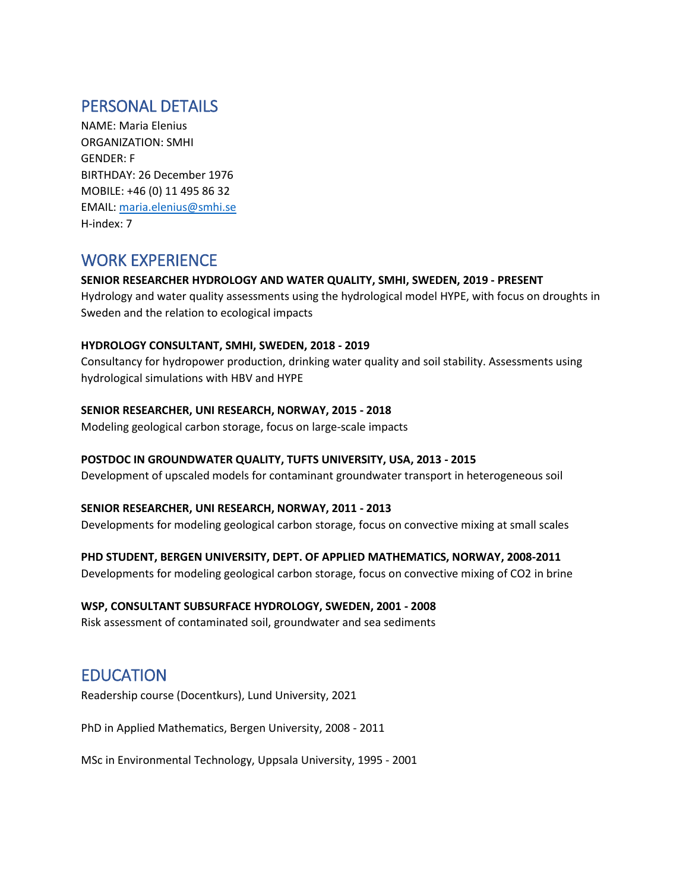# PERSONAL DETAILS

NAME: Maria Elenius ORGANIZATION: SMHI GENDER: F BIRTHDAY: 26 December 1976 MOBILE: +46 (0) 11 495 86 32 EMAIL: [maria.elenius@smhi.se](mailto:maria.elenius@smhi.se) H-index: 7

## WORK EXPERIENCE

#### **SENIOR RESEARCHER HYDROLOGY AND WATER QUALITY, SMHI, SWEDEN, 2019 - PRESENT**

Hydrology and water quality assessments using the hydrological model HYPE, with focus on droughts in Sweden and the relation to ecological impacts

#### **HYDROLOGY CONSULTANT, SMHI, SWEDEN, 2018 - 2019**

Consultancy for hydropower production, drinking water quality and soil stability. Assessments using hydrological simulations with HBV and HYPE

#### **SENIOR RESEARCHER, UNI RESEARCH, NORWAY, 2015 - 2018**

Modeling geological carbon storage, focus on large-scale impacts

#### **POSTDOC IN GROUNDWATER QUALITY, TUFTS UNIVERSITY, USA, 2013 - 2015**

Development of upscaled models for contaminant groundwater transport in heterogeneous soil

#### **SENIOR RESEARCHER, UNI RESEARCH, NORWAY, 2011 - 2013**

Developments for modeling geological carbon storage, focus on convective mixing at small scales

#### **PHD STUDENT, BERGEN UNIVERSITY, DEPT. OF APPLIED MATHEMATICS, NORWAY, 2008-2011**

Developments for modeling geological carbon storage, focus on convective mixing of CO2 in brine

#### **WSP, CONSULTANT SUBSURFACE HYDROLOGY, SWEDEN, 2001 - 2008**

Risk assessment of contaminated soil, groundwater and sea sediments

### EDUCATION

Readership course (Docentkurs), Lund University, 2021

PhD in Applied Mathematics, Bergen University, 2008 - 2011

MSc in Environmental Technology, Uppsala University, 1995 - 2001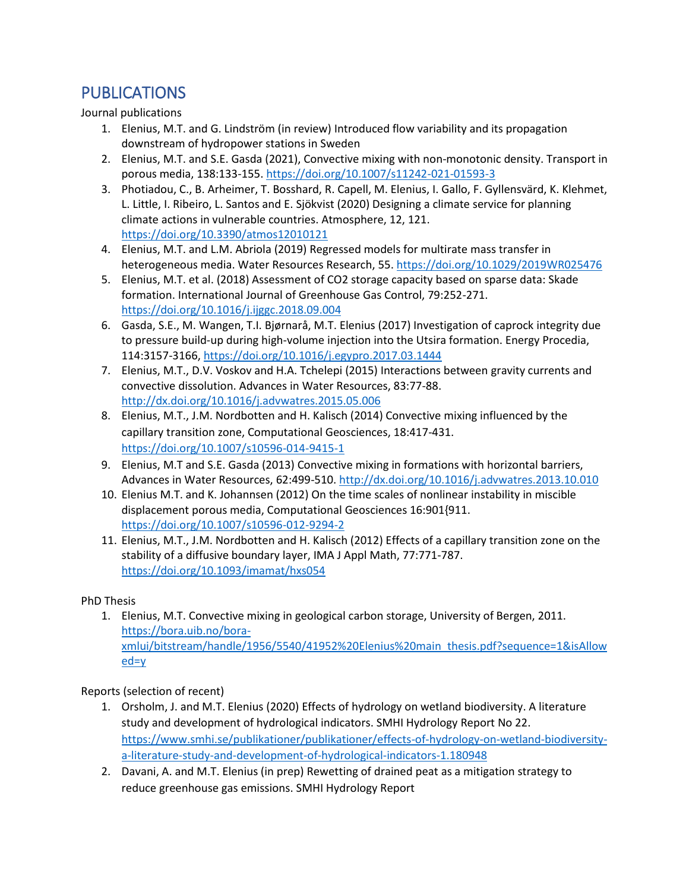# **PUBLICATIONS**

Journal publications

- 1. Elenius, M.T. and G. Lindström (in review) Introduced flow variability and its propagation downstream of hydropower stations in Sweden
- 2. Elenius, M.T. and S.E. Gasda (2021), Convective mixing with non-monotonic density. Transport in porous media, 138:133-155. <https://doi.org/10.1007/s11242-021-01593-3>
- 3. Photiadou, C., B. Arheimer, T. Bosshard, R. Capell, M. Elenius, I. Gallo, F. Gyllensvärd, K. Klehmet, L. Little, I. Ribeiro, L. Santos and E. Sjökvist (2020) Designing a climate service for planning climate actions in vulnerable countries. Atmosphere, 12, 121. <https://doi.org/10.3390/atmos12010121>
- 4. Elenius, M.T. and L.M. Abriola (2019) Regressed models for multirate mass transfer in heterogeneous media. Water Resources Research, 55[. https://doi.org/10.1029/2019WR025476](https://doi.org/10.1029/2019WR025476)
- 5. Elenius, M.T. et al. (2018) Assessment of CO2 storage capacity based on sparse data: Skade formation. International Journal of Greenhouse Gas Control, 79:252-271. <https://doi.org/10.1016/j.ijggc.2018.09.004>
- 6. Gasda, S.E., M. Wangen, T.I. Bjørnarå, M.T. Elenius (2017) Investigation of caprock integrity due to pressure build-up during high-volume injection into the Utsira formation. Energy Procedia, 114:3157-3166, <https://doi.org/10.1016/j.egypro.2017.03.1444>
- 7. Elenius, M.T., D.V. Voskov and H.A. Tchelepi (2015) Interactions between gravity currents and convective dissolution. Advances in Water Resources, 83:77-88. <http://dx.doi.org/10.1016/j.advwatres.2015.05.006>
- 8. Elenius, M.T., J.M. Nordbotten and H. Kalisch (2014) Convective mixing influenced by the capillary transition zone, Computational Geosciences, 18:417-431. <https://doi.org/10.1007/s10596-014-9415-1>
- 9. Elenius, M.T and S.E. Gasda (2013) Convective mixing in formations with horizontal barriers, Advances in Water Resources, 62:499-510. <http://dx.doi.org/10.1016/j.advwatres.2013.10.010>
- 10. Elenius M.T. and K. Johannsen (2012) On the time scales of nonlinear instability in miscible displacement porous media, Computational Geosciences 16:901{911. <https://doi.org/10.1007/s10596-012-9294-2>
- 11. Elenius, M.T., J.M. Nordbotten and H. Kalisch (2012) Effects of a capillary transition zone on the stability of a diffusive boundary layer, IMA J Appl Math, 77:771-787. <https://doi.org/10.1093/imamat/hxs054>

PhD Thesis

1. Elenius, M.T. Convective mixing in geological carbon storage, University of Bergen, 2011. [https://bora.uib.no/bora](https://bora.uib.no/bora-xmlui/bitstream/handle/1956/5540/41952%20Elenius%20main_thesis.pdf?sequence=1&isAllowed=y)[xmlui/bitstream/handle/1956/5540/41952%20Elenius%20main\\_thesis.pdf?sequence=1&isAllow](https://bora.uib.no/bora-xmlui/bitstream/handle/1956/5540/41952%20Elenius%20main_thesis.pdf?sequence=1&isAllowed=y) [ed=y](https://bora.uib.no/bora-xmlui/bitstream/handle/1956/5540/41952%20Elenius%20main_thesis.pdf?sequence=1&isAllowed=y)

Reports (selection of recent)

- 1. Orsholm, J. and M.T. Elenius (2020) Effects of hydrology on wetland biodiversity. A literature study and development of hydrological indicators. SMHI Hydrology Report No 22. [https://www.smhi.se/publikationer/publikationer/effects-of-hydrology-on-wetland-biodiversity](https://www.smhi.se/publikationer/publikationer/effects-of-hydrology-on-wetland-biodiversity-a-literature-study-and-development-of-hydrological-indicators-1.180948)[a-literature-study-and-development-of-hydrological-indicators-1.180948](https://www.smhi.se/publikationer/publikationer/effects-of-hydrology-on-wetland-biodiversity-a-literature-study-and-development-of-hydrological-indicators-1.180948)
- 2. Davani, A. and M.T. Elenius (in prep) Rewetting of drained peat as a mitigation strategy to reduce greenhouse gas emissions. SMHI Hydrology Report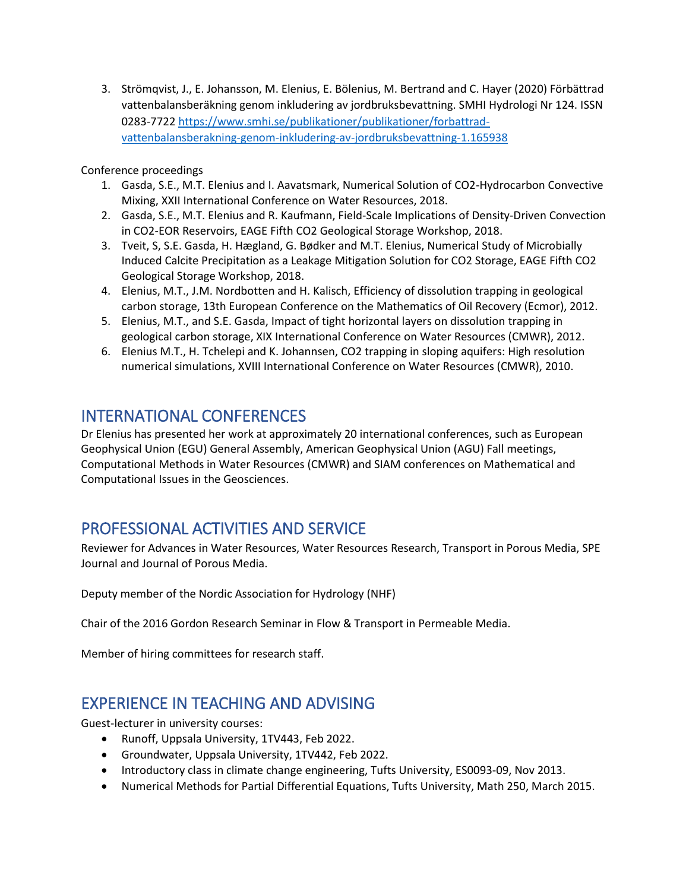3. Strömqvist, J., E. Johansson, M. Elenius, E. Bölenius, M. Bertrand and C. Hayer (2020) Förbättrad vattenbalansberäkning genom inkludering av jordbruksbevattning. SMHI Hydrologi Nr 124. ISSN 0283-772[2 https://www.smhi.se/publikationer/publikationer/forbattrad](https://www.smhi.se/publikationer/publikationer/forbattrad-vattenbalansberakning-genom-inkludering-av-jordbruksbevattning-1.165938)[vattenbalansberakning-genom-inkludering-av-jordbruksbevattning-1.165938](https://www.smhi.se/publikationer/publikationer/forbattrad-vattenbalansberakning-genom-inkludering-av-jordbruksbevattning-1.165938)

Conference proceedings

- 1. Gasda, S.E., M.T. Elenius and I. Aavatsmark, Numerical Solution of CO2-Hydrocarbon Convective Mixing, XXII International Conference on Water Resources, 2018.
- 2. Gasda, S.E., M.T. Elenius and R. Kaufmann, Field-Scale Implications of Density-Driven Convection in CO2-EOR Reservoirs, EAGE Fifth CO2 Geological Storage Workshop, 2018.
- 3. Tveit, S, S.E. Gasda, H. Hægland, G. Bødker and M.T. Elenius, Numerical Study of Microbially Induced Calcite Precipitation as a Leakage Mitigation Solution for CO2 Storage, EAGE Fifth CO2 Geological Storage Workshop, 2018.
- 4. Elenius, M.T., J.M. Nordbotten and H. Kalisch, Efficiency of dissolution trapping in geological carbon storage, 13th European Conference on the Mathematics of Oil Recovery (Ecmor), 2012.
- 5. Elenius, M.T., and S.E. Gasda, Impact of tight horizontal layers on dissolution trapping in geological carbon storage, XIX International Conference on Water Resources (CMWR), 2012.
- 6. Elenius M.T., H. Tchelepi and K. Johannsen, CO2 trapping in sloping aquifers: High resolution numerical simulations, XVIII International Conference on Water Resources (CMWR), 2010.

### INTERNATIONAL CONFERENCES

Dr Elenius has presented her work at approximately 20 international conferences, such as European Geophysical Union (EGU) General Assembly, American Geophysical Union (AGU) Fall meetings, Computational Methods in Water Resources (CMWR) and SIAM conferences on Mathematical and Computational Issues in the Geosciences.

## PROFESSIONAL ACTIVITIES AND SERVICE

Reviewer for Advances in Water Resources, Water Resources Research, Transport in Porous Media, SPE Journal and Journal of Porous Media.

Deputy member of the Nordic Association for Hydrology (NHF)

Chair of the 2016 Gordon Research Seminar in Flow & Transport in Permeable Media.

Member of hiring committees for research staff.

## EXPERIENCE IN TEACHING AND ADVISING

Guest-lecturer in university courses:

- Runoff, Uppsala University, 1TV443, Feb 2022.
- Groundwater, Uppsala University, 1TV442, Feb 2022.
- Introductory class in climate change engineering, Tufts University, ES0093-09, Nov 2013.
- Numerical Methods for Partial Differential Equations, Tufts University, Math 250, March 2015.